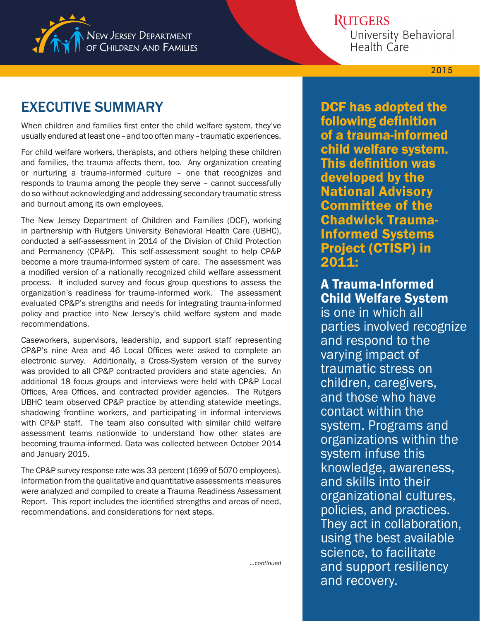

## **RUTGERS**

University Behavioral Health Care

**2015**

# EXECUTIVE SUMMARY

When children and families first enter the child welfare system, they've usually endured at least one – and too often many – traumatic experiences.

For child welfare workers, therapists, and others helping these children and families, the trauma affects them, too. Any organization creating or nurturing a trauma-informed culture – one that recognizes and responds to trauma among the people they serve – cannot successfully do so without acknowledging and addressing secondary traumatic stress and burnout among its own employees.

The New Jersey Department of Children and Families (DCF), working in partnership with Rutgers University Behavioral Health Care (UBHC), conducted a self-assessment in 2014 of the Division of Child Protection and Permanency (CP&P). This self-assessment sought to help CP&P become a more trauma-informed system of care. The assessment was a modified version of a nationally recognized child welfare assessment process. It included survey and focus group questions to assess the organization's readiness for trauma-informed work. The assessment evaluated CP&P's strengths and needs for integrating trauma-informed policy and practice into New Jersey's child welfare system and made recommendations.

Caseworkers, supervisors, leadership, and support staff representing CP&P's nine Area and 46 Local Offices were asked to complete an electronic survey. Additionally, a Cross-System version of the survey was provided to all CP&P contracted providers and state agencies. An additional 18 focus groups and interviews were held with CP&P Local Offices, Area Offices, and contracted provider agencies. The Rutgers UBHC team observed CP&P practice by attending statewide meetings, shadowing frontline workers, and participating in informal interviews with CP&P staff. The team also consulted with similar child welfare assessment teams nationwide to understand how other states are becoming trauma-informed. Data was collected between October 2014 and January 2015.

The CP&P survey response rate was 33 percent (1699 of 5070 employees). Information from the qualitative and quantitative assessments measures were analyzed and compiled to create a Trauma Readiness Assessment Report. This report includes the identified strengths and areas of need, recommendations, and considerations for next steps.

DCF has adopted the following definition of a trauma-informed child welfare system. This definition was developed by the National Advisory Committee of the Chadwick Trauma-Informed Systems Project (CTISP) in 2011:

## A Trauma-Informed Child Welfare System

is one in which all parties involved recognize and respond to the varying impact of traumatic stress on children, caregivers, and those who have contact within the system. Programs and organizations within the system infuse this knowledge, awareness, and skills into their organizational cultures, policies, and practices. They act in collaboration, using the best available science, to facilitate and support resiliency and recovery.

*...continued*